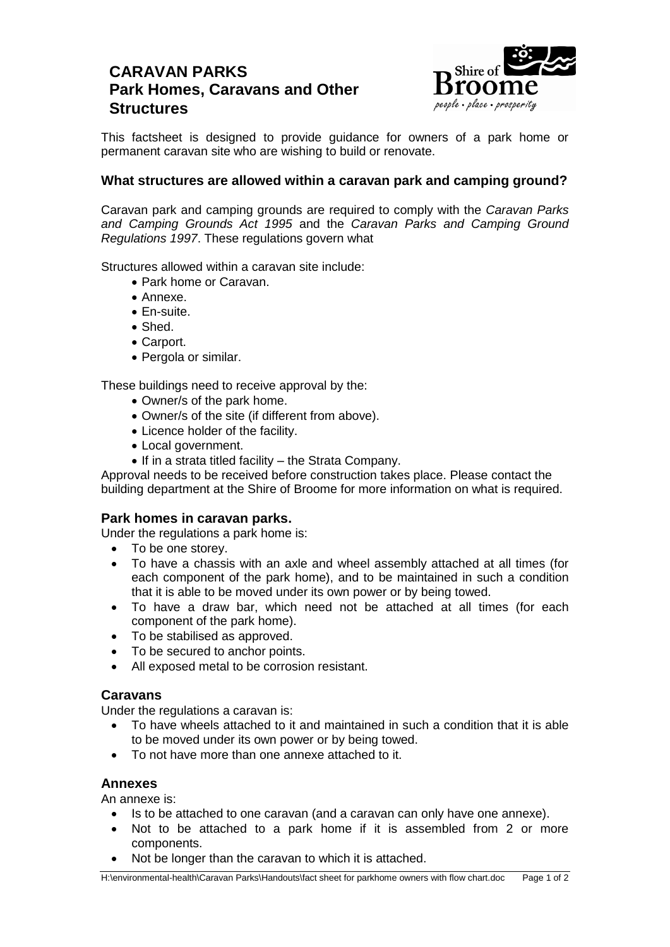# **CARAVAN PARKS Park Homes, Caravans and Other Structures**



This factsheet is designed to provide guidance for owners of a park home or permanent caravan site who are wishing to build or renovate.

# **What structures are allowed within a caravan park and camping ground?**

Caravan park and camping grounds are required to comply with the *Caravan Parks and Camping Grounds Act 1995* and the *Caravan Parks and Camping Ground Regulations 1997*. These regulations govern what

Structures allowed within a caravan site include:

- Park home or Caravan.
- Annexe.
- En-suite.
- Shed.
- Carport.
- Pergola or similar.

These buildings need to receive approval by the:

- Owner/s of the park home.
- Owner/s of the site (if different from above).
- Licence holder of the facility.
- Local government.
- $\bullet$  If in a strata titled facility the Strata Company.

Approval needs to be received before construction takes place. Please contact the building department at the Shire of Broome for more information on what is required.

#### **Park homes in caravan parks.**

Under the regulations a park home is:

- To be one storey.
- To have a chassis with an axle and wheel assembly attached at all times (for each component of the park home), and to be maintained in such a condition that it is able to be moved under its own power or by being towed.
- To have a draw bar, which need not be attached at all times (for each component of the park home).
- To be stabilised as approved.
- To be secured to anchor points.
- All exposed metal to be corrosion resistant.

## **Caravans**

Under the regulations a caravan is:

- To have wheels attached to it and maintained in such a condition that it is able to be moved under its own power or by being towed.
- To not have more than one annexe attached to it.

### **Annexes**

An annexe is:

- Is to be attached to one caravan (and a caravan can only have one annexe).
- Not to be attached to a park home if it is assembled from 2 or more components.
- Not be longer than the caravan to which it is attached.